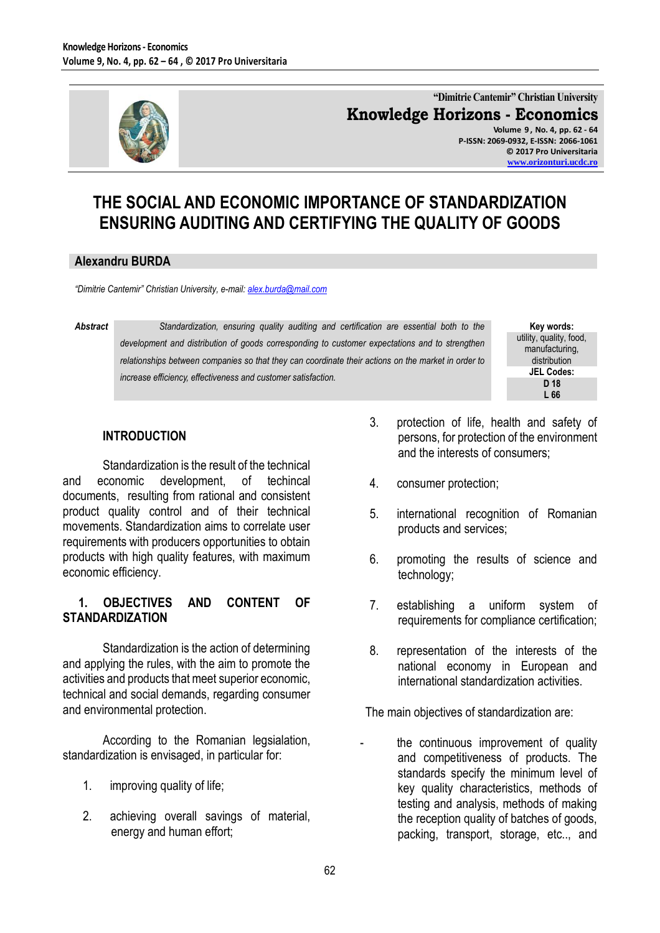

## **"Dimitrie Cantemir" Christian University Knowledge Horizons - Economics**

**Volume 9 , No. 4, pp. 62 - 64 P-ISSN: 2069-0932, E-ISSN: 2066-1061 © 2017 Pro Universitaria [www.orizonturi.ucdc.ro](http://www.orizonturi.ucdc.ro/)**

# **THE SOCIAL AND ECONOMIC IMPORTANCE OF STANDARDIZATION ENSURING AUDITING AND CERTIFYING THE QUALITY OF GOODS**

#### **Alexandru BURDA**

*"Dimitrie Cantemir" Christian University, e-mail[: alex.burda@mail.com](mailto:alex.burda@mail.com)*

*Abstract Standardization, ensuring quality auditing and certification are essential both to the development and distribution of goods corresponding to customer expectations and to strengthen relationships between companies so that they can coordinate their actions on the market in order to increase efficiency, effectiveness and customer satisfaction.*

**Key words:** utility, quality, food, manufacturing, distribution **JEL Codes: D 18 L 66**

### **INTRODUCTION**

Standardization is the result of the technical and economic development, of techincal documents, resulting from rational and consistent product quality control and of their technical movements. Standardization aims to correlate user requirements with producers opportunities to obtain products with high quality features, with maximum economic efficiency.

#### **1. OBJECTIVES AND CONTENT OF STANDARDIZATION**

Standardization is the action of determining and applying the rules, with the aim to promote the activities and products that meet superior economic, technical and social demands, regarding consumer and environmental protection.

According to the Romanian legsialation, standardization is envisaged, in particular for:

- 1. improving quality of life;
- 2. achieving overall savings of material, energy and human effort;
- 3. protection of life, health and safety of persons, for protection of the environment and the interests of consumers;
- 4. consumer protection;
- 5. international recognition of Romanian products and services;
- 6. promoting the results of science and technology;
- 7. establishing a uniform system of requirements for compliance certification;
- 8. representation of the interests of the national economy in European and international standardization activities.

The main objectives of standardization are:

the continuous improvement of quality and competitiveness of products. The standards specify the minimum level of key quality characteristics, methods of testing and analysis, methods of making the reception quality of batches of goods, packing, transport, storage, etc.., and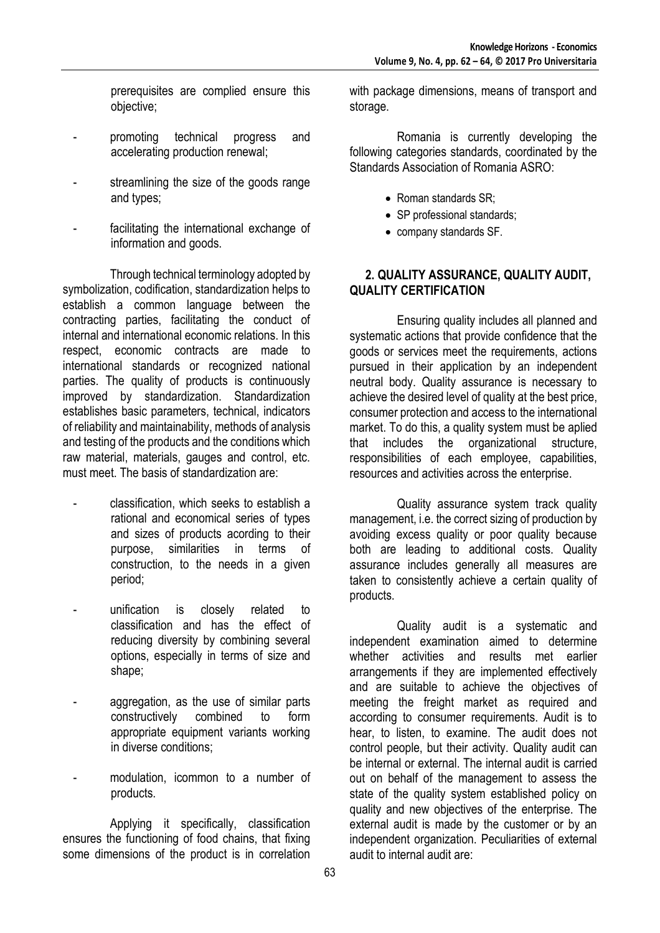prerequisites are complied ensure this objective;

- promoting technical progress and accelerating production renewal;
- streamlining the size of the goods range and types;
- facilitating the international exchange of information and goods.

Through technical terminology adopted by symbolization, codification, standardization helps to establish a common language between the contracting parties, facilitating the conduct of internal and international economic relations. In this respect, economic contracts are made to international standards or recognized national parties. The quality of products is continuously improved by standardization. Standardization establishes basic parameters, technical, indicators of reliability and maintainability, methods of analysis and testing of the products and the conditions which raw material, materials, gauges and control, etc. must meet. The basis of standardization are:

- classification, which seeks to establish a rational and economical series of types and sizes of products acording to their purpose, similarities in terms of construction, to the needs in a given period;
- unification is closely related to classification and has the effect of reducing diversity by combining several options, especially in terms of size and shape;
- aggregation, as the use of similar parts constructively combined to form appropriate equipment variants working in diverse conditions;
- modulation, icommon to a number of products.

Applying it specifically, classification ensures the functioning of food chains, that fixing some dimensions of the product is in correlation

with package dimensions, means of transport and storage.

Romania is currently developing the following categories standards, coordinated by the Standards Association of Romania ASRO:

- Roman standards SR;
- SP professional standards;
- company standards SF.

#### **2. QUALITY ASSURANCE, QUALITY AUDIT, QUALITY CERTIFICATION**

Ensuring quality includes all planned and systematic actions that provide confidence that the goods or services meet the requirements, actions pursued in their application by an independent neutral body. Quality assurance is necessary to achieve the desired level of quality at the best price, consumer protection and access to the international market. To do this, a quality system must be aplied that includes the organizational structure, responsibilities of each employee, capabilities, resources and activities across the enterprise.

Quality assurance system track quality management, i.e. the correct sizing of production by avoiding excess quality or poor quality because both are leading to additional costs. Quality assurance includes generally all measures are taken to consistently achieve a certain quality of products.

Quality audit is a systematic and independent examination aimed to determine whether activities and results met earlier arrangements if they are implemented effectively and are suitable to achieve the objectives of meeting the freight market as required and according to consumer requirements. Audit is to hear, to listen, to examine. The audit does not control people, but their activity. Quality audit can be internal or external. The internal audit is carried out on behalf of the management to assess the state of the quality system established policy on quality and new objectives of the enterprise. The external audit is made by the customer or by an independent organization. Peculiarities of external audit to internal audit are: